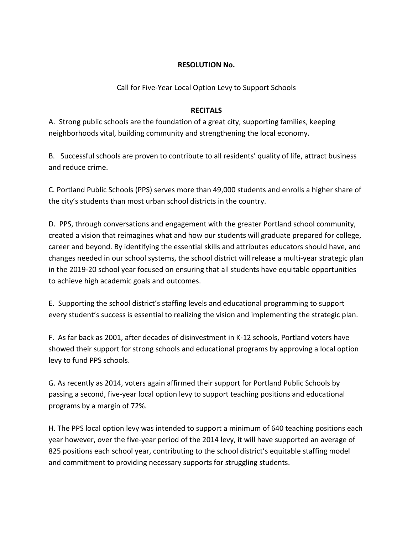## **RESOLUTION No.**

Call for Five-Year Local Option Levy to Support Schools

## **RECITALS**

A. Strong public schools are the foundation of a great city, supporting families, keeping neighborhoods vital, building community and strengthening the local economy.

B. Successful schools are proven to contribute to all residents' quality of life, attract business and reduce crime.

C. Portland Public Schools (PPS) serves more than 49,000 students and enrolls a higher share of the city's students than most urban school districts in the country.

D. PPS, through conversations and engagement with the greater Portland school community, created a vision that reimagines what and how our students will graduate prepared for college, career and beyond. By identifying the essential skills and attributes educators should have, and changes needed in our school systems, the school district will release a multi-year strategic plan in the 2019-20 school year focused on ensuring that all students have equitable opportunities to achieve high academic goals and outcomes.

E. Supporting the school district's staffing levels and educational programming to support every student's success is essential to realizing the vision and implementing the strategic plan.

F. As far back as 2001, after decades of disinvestment in K-12 schools, Portland voters have showed their support for strong schools and educational programs by approving a local option levy to fund PPS schools.

G. As recently as 2014, voters again affirmed their support for Portland Public Schools by passing a second, five-year local option levy to support teaching positions and educational programs by a margin of 72%.

H. The PPS local option levy was intended to support a minimum of 640 teaching positions each year however, over the five-year period of the 2014 levy, it will have supported an average of 825 positions each school year, contributing to the school district's equitable staffing model and commitment to providing necessary supports for struggling students.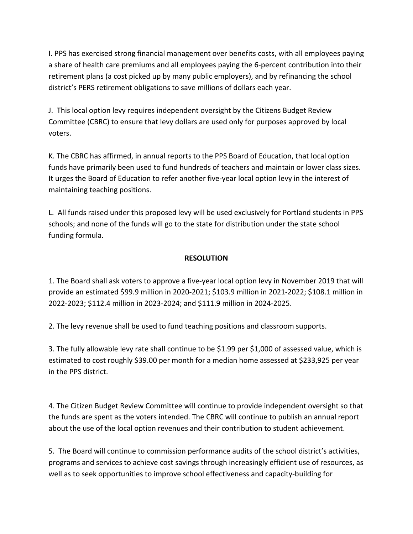I. PPS has exercised strong financial management over benefits costs, with all employees paying a share of health care premiums and all employees paying the 6-percent contribution into their retirement plans (a cost picked up by many public employers), and by refinancing the school district's PERS retirement obligations to save millions of dollars each year.

J. This local option levy requires independent oversight by the Citizens Budget Review Committee (CBRC) to ensure that levy dollars are used only for purposes approved by local voters.

K. The CBRC has affirmed, in annual reports to the PPS Board of Education, that local option funds have primarily been used to fund hundreds of teachers and maintain or lower class sizes. It urges the Board of Education to refer another five-year local option levy in the interest of maintaining teaching positions.

L. All funds raised under this proposed levy will be used exclusively for Portland students in PPS schools; and none of the funds will go to the state for distribution under the state school funding formula.

# **RESOLUTION**

1. The Board shall ask voters to approve a five-year local option levy in November 2019 that will provide an estimated \$99.9 million in 2020-2021; \$103.9 million in 2021-2022; \$108.1 million in 2022-2023; \$112.4 million in 2023-2024; and \$111.9 million in 2024-2025.

2. The levy revenue shall be used to fund teaching positions and classroom supports.

3. The fully allowable levy rate shall continue to be \$1.99 per \$1,000 of assessed value, which is estimated to cost roughly \$39.00 per month for a median home assessed at \$233,925 per year in the PPS district.

4. The Citizen Budget Review Committee will continue to provide independent oversight so that the funds are spent as the voters intended. The CBRC will continue to publish an annual report about the use of the local option revenues and their contribution to student achievement.

5. The Board will continue to commission performance audits of the school district's activities, programs and services to achieve cost savings through increasingly efficient use of resources, as well as to seek opportunities to improve school effectiveness and capacity-building for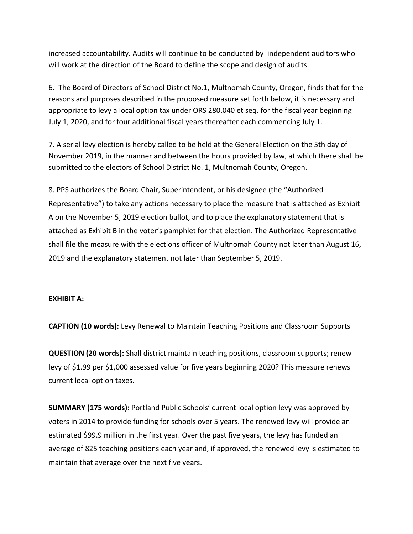increased accountability. Audits will continue to be conducted by independent auditors who will work at the direction of the Board to define the scope and design of audits.

6. The Board of Directors of School District No.1, Multnomah County, Oregon, finds that for the reasons and purposes described in the proposed measure set forth below, it is necessary and appropriate to levy a local option tax under ORS 280.040 et seq. for the fiscal year beginning July 1, 2020, and for four additional fiscal years thereafter each commencing July 1.

7. A serial levy election is hereby called to be held at the General Election on the 5th day of November 2019, in the manner and between the hours provided by law, at which there shall be submitted to the electors of School District No. 1, Multnomah County, Oregon.

8. PPS authorizes the Board Chair, Superintendent, or his designee (the "Authorized Representative") to take any actions necessary to place the measure that is attached as Exhibit A on the November 5, 2019 election ballot, and to place the explanatory statement that is attached as Exhibit B in the voter's pamphlet for that election. The Authorized Representative shall file the measure with the elections officer of Multnomah County not later than August 16, 2019 and the explanatory statement not later than September 5, 2019.

#### **EXHIBIT A:**

**CAPTION (10 words):** Levy Renewal to Maintain Teaching Positions and Classroom Supports

**QUESTION (20 words):** Shall district maintain teaching positions, classroom supports; renew levy of \$1.99 per \$1,000 assessed value for five years beginning 2020? This measure renews current local option taxes.

**SUMMARY (175 words):** Portland Public Schools' current local option levy was approved by voters in 2014 to provide funding for schools over 5 years. The renewed levy will provide an estimated \$99.9 million in the first year. Over the past five years, the levy has funded an average of 825 teaching positions each year and, if approved, the renewed levy is estimated to maintain that average over the next five years.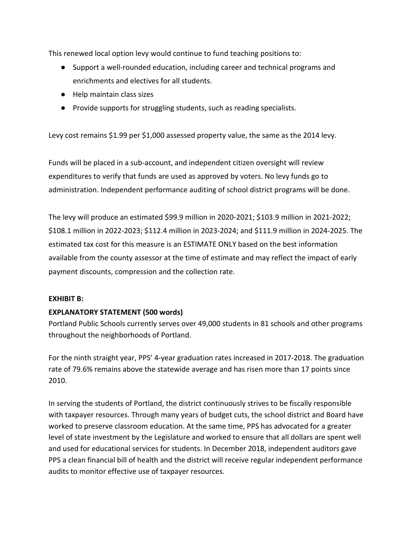This renewed local option levy would continue to fund teaching positions to:

- Support a well-rounded education, including career and technical programs and enrichments and electives for all students.
- Help maintain class sizes
- Provide supports for struggling students, such as reading specialists.

Levy cost remains \$1.99 per \$1,000 assessed property value, the same as the 2014 levy.

Funds will be placed in a sub-account, and independent citizen oversight will review expenditures to verify that funds are used as approved by voters. No levy funds go to administration. Independent performance auditing of school district programs will be done.

The levy will produce an estimated \$99.9 million in 2020-2021; \$103.9 million in 2021-2022; \$108.1 million in 2022-2023; \$112.4 million in 2023-2024; and \$111.9 million in 2024-2025. The estimated tax cost for this measure is an ESTIMATE ONLY based on the best information available from the county assessor at the time of estimate and may reflect the impact of early payment discounts, compression and the collection rate.

#### **EXHIBIT B:**

# **EXPLANATORY STATEMENT (500 words)**

Portland Public Schools currently serves over 49,000 students in 81 schools and other programs throughout the neighborhoods of Portland.

For the ninth straight year, PPS' 4-year graduation rates increased in 2017-2018. The graduation rate of 79.6% remains above the statewide average and has risen more than 17 points since 2010.

In serving the students of Portland, the district continuously strives to be fiscally responsible with taxpayer resources. Through many years of budget cuts, the school district and Board have worked to preserve classroom education. At the same time, PPS has advocated for a greater level of state investment by the Legislature and worked to ensure that all dollars are spent well and used for educational services for students. In December 2018, independent auditors gave PPS a clean financial bill of health and the district will receive regular independent performance audits to monitor effective use of taxpayer resources.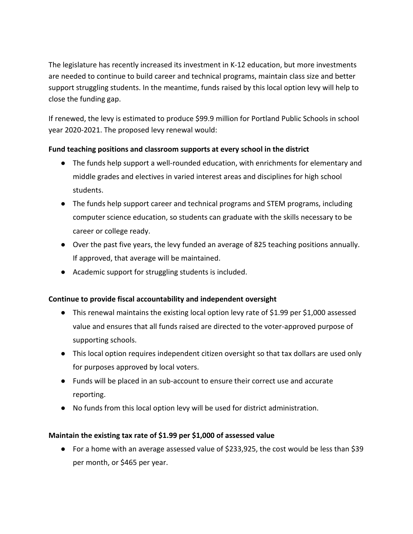The legislature has recently increased its investment in K-12 education, but more investments are needed to continue to build career and technical programs, maintain class size and better support struggling students. In the meantime, funds raised by this local option levy will help to close the funding gap.

If renewed, the levy is estimated to produce \$99.9 million for Portland Public Schools in school year 2020-2021. The proposed levy renewal would:

# **Fund teaching positions and classroom supports at every school in the district**

- The funds help support a well-rounded education, with enrichments for elementary and middle grades and electives in varied interest areas and disciplines for high school students.
- The funds help support career and technical programs and STEM programs, including computer science education, so students can graduate with the skills necessary to be career or college ready.
- Over the past five years, the levy funded an average of 825 teaching positions annually. If approved, that average will be maintained.
- Academic support for struggling students is included.

# **Continue to provide fiscal accountability and independent oversight**

- This renewal maintains the existing local option levy rate of \$1.99 per \$1,000 assessed value and ensures that all funds raised are directed to the voter-approved purpose of supporting schools.
- This local option requires independent citizen oversight so that tax dollars are used only for purposes approved by local voters.
- Funds will be placed in an sub-account to ensure their correct use and accurate reporting.
- No funds from this local option levy will be used for district administration.

# **Maintain the existing tax rate of \$1.99 per \$1,000 of assessed value**

● For a home with an average assessed value of \$233,925, the cost would be less than \$39 per month, or \$465 per year.